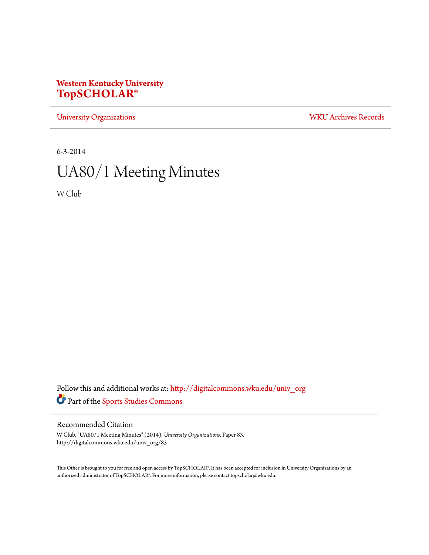# **Western Kentucky University [TopSCHOLAR®](http://digitalcommons.wku.edu?utm_source=digitalcommons.wku.edu%2Funiv_org%2F83&utm_medium=PDF&utm_campaign=PDFCoverPages)**

[University Organizations](http://digitalcommons.wku.edu/univ_org?utm_source=digitalcommons.wku.edu%2Funiv_org%2F83&utm_medium=PDF&utm_campaign=PDFCoverPages) [WKU Archives Records](http://digitalcommons.wku.edu/dlsc_ua_records?utm_source=digitalcommons.wku.edu%2Funiv_org%2F83&utm_medium=PDF&utm_campaign=PDFCoverPages)

6-3-2014

# UA80/1 Meeting Minutes

W Club

Follow this and additional works at: [http://digitalcommons.wku.edu/univ\\_org](http://digitalcommons.wku.edu/univ_org?utm_source=digitalcommons.wku.edu%2Funiv_org%2F83&utm_medium=PDF&utm_campaign=PDFCoverPages) Part of the [Sports Studies Commons](http://network.bepress.com/hgg/discipline/1198?utm_source=digitalcommons.wku.edu%2Funiv_org%2F83&utm_medium=PDF&utm_campaign=PDFCoverPages)

# Recommended Citation

W Club, "UA80/1 Meeting Minutes" (2014). *University Organizations.* Paper 83. http://digitalcommons.wku.edu/univ\_org/83

This Other is brought to you for free and open access by TopSCHOLAR®. It has been accepted for inclusion in University Organizations by an authorized administrator of TopSCHOLAR®. For more information, please contact topscholar@wku.edu.